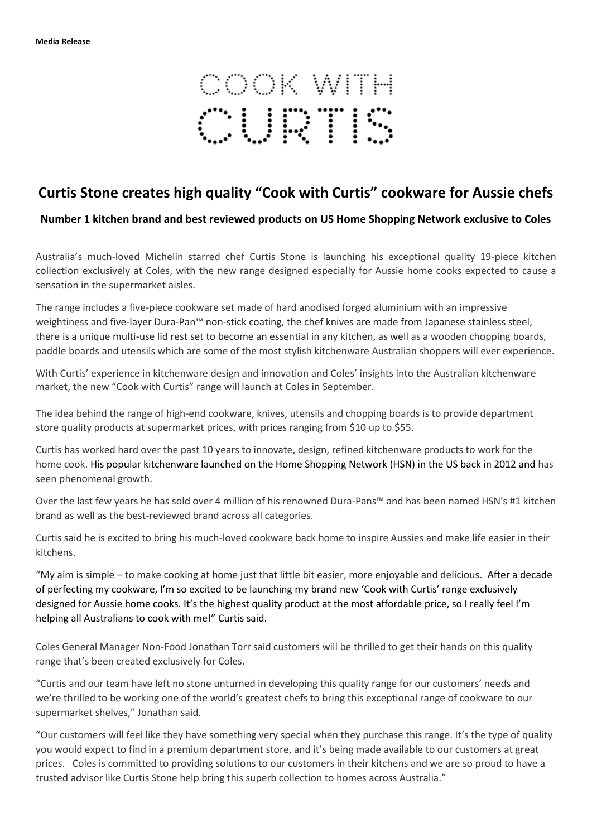

## **Curtis Stone creates high quality "Cook with Curtis" cookware for Aussie chefs**

**Number 1 kitchen brand and best reviewed products on US Home Shopping Network exclusive to Coles**

Australia's much-loved Michelin starred chef Curtis Stone is launching his exceptional quality 19-piece kitchen collection exclusively at Coles, with the new range designed especially for Aussie home cooks expected to cause a sensation in the supermarket aisles.

The range includes a five-piece cookware set made of hard anodised forged aluminium with an impressive weightiness and five-layer Dura-Pan™ non-stick coating, the chef knives are made from Japanese stainless steel, there is a unique multi-use lid rest set to become an essential in any kitchen, as well as a wooden chopping boards, paddle boards and utensils which are some of the most stylish kitchenware Australian shoppers will ever experience.

With Curtis' experience in kitchenware design and innovation and Coles' insights into the Australian kitchenware market, the new "Cook with Curtis" range will launch at Coles in September.

The idea behind the range of high-end cookware, knives, utensils and chopping boards is to provide department store quality products at supermarket prices, with prices ranging from \$10 up to \$55.

Curtis has worked hard over the past 10 years to innovate, design, refined kitchenware products to work for the home cook. His popular kitchenware launched on the Home Shopping Network (HSN) in the US back in 2012 and has seen phenomenal growth.

Over the last few years he has sold over 4 million of his renowned Dura-Pans™ and has been named HSN's #1 kitchen brand as well as the best-reviewed brand across all categories.

Curtis said he is excited to bring his much-loved cookware back home to inspire Aussies and make life easier in their kitchens.

"My aim is simple – to make cooking at home just that little bit easier, more enjoyable and delicious. After a decade of perfecting my cookware, I'm so excited to be launching my brand new 'Cook with Curtis' range exclusively designed for Aussie home cooks. It's the highest quality product at the most affordable price, so I really feel I'm helping all Australians to cook with me!" Curtis said.

Coles General Manager Non-Food Jonathan Torr said customers will be thrilled to get their hands on this quality range that's been created exclusively for Coles.

"Curtis and our team have left no stone unturned in developing this quality range for our customers' needs and we're thrilled to be working one of the world's greatest chefs to bring this exceptional range of cookware to our supermarket shelves," Jonathan said.

"Our customers will feel like they have something very special when they purchase this range. It's the type of quality you would expect to find in a premium department store, and it's being made available to our customers at great prices. Coles is committed to providing solutions to our customers in their kitchens and we are so proud to have a trusted advisor like Curtis Stone help bring this superb collection to homes across Australia."